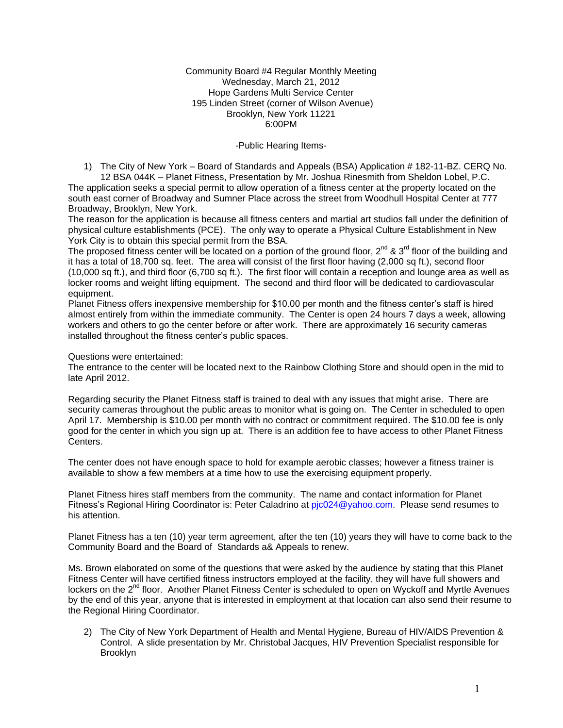Community Board #4 Regular Monthly Meeting Wednesday, March 21, 2012 Hope Gardens Multi Service Center 195 Linden Street (corner of Wilson Avenue) Brooklyn, New York 11221 6:00PM

### -Public Hearing Items-

1) The City of New York – Board of Standards and Appeals (BSA) Application # 182-11-BZ. CERQ No. 12 BSA 044K – Planet Fitness, Presentation by Mr. Joshua Rinesmith from Sheldon Lobel, P.C.

The application seeks a special permit to allow operation of a fitness center at the property located on the south east corner of Broadway and Sumner Place across the street from Woodhull Hospital Center at 777 Broadway, Brooklyn, New York.

The reason for the application is because all fitness centers and martial art studios fall under the definition of physical culture establishments (PCE). The only way to operate a Physical Culture Establishment in New York City is to obtain this special permit from the BSA.

The proposed fitness center will be located on a portion of the ground floor,  $2^{nd}$  &  $3^{rd}$  floor of the building and it has a total of 18,700 sq. feet. The area will consist of the first floor having (2,000 sq ft.), second floor (10,000 sq ft.), and third floor (6,700 sq ft.). The first floor will contain a reception and lounge area as well as locker rooms and weight lifting equipment. The second and third floor will be dedicated to cardiovascular equipment.

Planet Fitness offers inexpensive membership for \$10.00 per month and the fitness center's staff is hired almost entirely from within the immediate community. The Center is open 24 hours 7 days a week, allowing workers and others to go the center before or after work. There are approximately 16 security cameras installed throughout the fitness center's public spaces.

Questions were entertained:

The entrance to the center will be located next to the Rainbow Clothing Store and should open in the mid to late April 2012.

Regarding security the Planet Fitness staff is trained to deal with any issues that might arise. There are security cameras throughout the public areas to monitor what is going on. The Center in scheduled to open April 17. Membership is \$10.00 per month with no contract or commitment required. The \$10.00 fee is only good for the center in which you sign up at. There is an addition fee to have access to other Planet Fitness Centers.

The center does not have enough space to hold for example aerobic classes; however a fitness trainer is available to show a few members at a time how to use the exercising equipment properly.

Planet Fitness hires staff members from the community. The name and contact information for Planet Fitness's Regional Hiring Coordinator is: Peter Caladrino a[t pjc024@yahoo.com.](mailto:pjc024@yahoo.com) Please send resumes to his attention.

Planet Fitness has a ten (10) year term agreement, after the ten (10) years they will have to come back to the Community Board and the Board of Standards a& Appeals to renew.

Ms. Brown elaborated on some of the questions that were asked by the audience by stating that this Planet Fitness Center will have certified fitness instructors employed at the facility, they will have full showers and lockers on the 2<sup>nd</sup> floor. Another Planet Fitness Center is scheduled to open on Wyckoff and Myrtle Avenues by the end of this year, anyone that is interested in employment at that location can also send their resume to the Regional Hiring Coordinator.

2) The City of New York Department of Health and Mental Hygiene, Bureau of HIV/AIDS Prevention & Control. A slide presentation by Mr. Christobal Jacques, HIV Prevention Specialist responsible for Brooklyn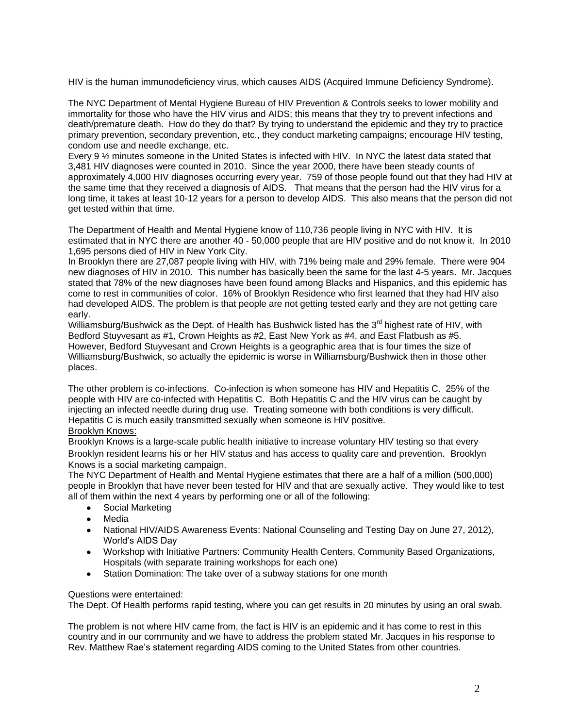HIV is the human immunodeficiency virus, which causes AIDS (Acquired Immune Deficiency Syndrome).

The NYC Department of Mental Hygiene Bureau of HIV Prevention & Controls seeks to lower mobility and immortality for those who have the HIV virus and AIDS; this means that they try to prevent infections and death/premature death. How do they do that? By trying to understand the epidemic and they try to practice primary prevention, secondary prevention, etc., they conduct marketing campaigns; encourage HIV testing, condom use and needle exchange, etc.

Every 9 ½ minutes someone in the United States is infected with HIV. In NYC the latest data stated that 3,481 HIV diagnoses were counted in 2010. Since the year 2000, there have been steady counts of approximately 4,000 HIV diagnoses occurring every year. 759 of those people found out that they had HIV at the same time that they received a diagnosis of AIDS. That means that the person had the HIV virus for a long time, it takes at least 10-12 years for a person to develop AIDS. This also means that the person did not get tested within that time.

The Department of Health and Mental Hygiene know of 110,736 people living in NYC with HIV. It is estimated that in NYC there are another 40 - 50,000 people that are HIV positive and do not know it. In 2010 1,695 persons died of HIV in New York City.

In Brooklyn there are 27,087 people living with HIV, with 71% being male and 29% female. There were 904 new diagnoses of HIV in 2010. This number has basically been the same for the last 4-5 years. Mr. Jacques stated that 78% of the new diagnoses have been found among Blacks and Hispanics, and this epidemic has come to rest in communities of color. 16% of Brooklyn Residence who first learned that they had HIV also had developed AIDS. The problem is that people are not getting tested early and they are not getting care early.

Williamsburg/Bushwick as the Dept. of Health has Bushwick listed has the 3<sup>rd</sup> highest rate of HIV, with Bedford Stuyvesant as #1, Crown Heights as #2, East New York as #4, and East Flatbush as #5. However, Bedford Stuyvesant and Crown Heights is a geographic area that is four times the size of Williamsburg/Bushwick, so actually the epidemic is worse in Williamsburg/Bushwick then in those other places.

The other problem is co-infections. Co-infection is when someone has HIV and Hepatitis C. 25% of the people with HIV are co-infected with Hepatitis C. Both Hepatitis C and the HIV virus can be caught by injecting an infected needle during drug use. Treating someone with both conditions is very difficult. Hepatitis C is much easily transmitted sexually when someone is HIV positive.

# Brooklyn Knows:

Brooklyn Knows is a large-scale public health initiative to increase voluntary HIV testing so that every Brooklyn resident learns his or her HIV status and has access to quality care and prevention. Brooklyn Knows is a social marketing campaign.

The NYC Department of Health and Mental Hygiene estimates that there are a half of a million (500,000) people in Brooklyn that have never been tested for HIV and that are sexually active. They would like to test all of them within the next 4 years by performing one or all of the following:

- Social Marketing  $\bullet$
- Media
- National HIV/AIDS Awareness Events: National Counseling and Testing Day on June 27, 2012), World's AIDS Day
- Workshop with Initiative Partners: Community Health Centers, Community Based Organizations, Hospitals (with separate training workshops for each one)
- Station Domination: The take over of a subway stations for one month

# Questions were entertained:

The Dept. Of Health performs rapid testing, where you can get results in 20 minutes by using an oral swab.

The problem is not where HIV came from, the fact is HIV is an epidemic and it has come to rest in this country and in our community and we have to address the problem stated Mr. Jacques in his response to Rev. Matthew Rae's statement regarding AIDS coming to the United States from other countries.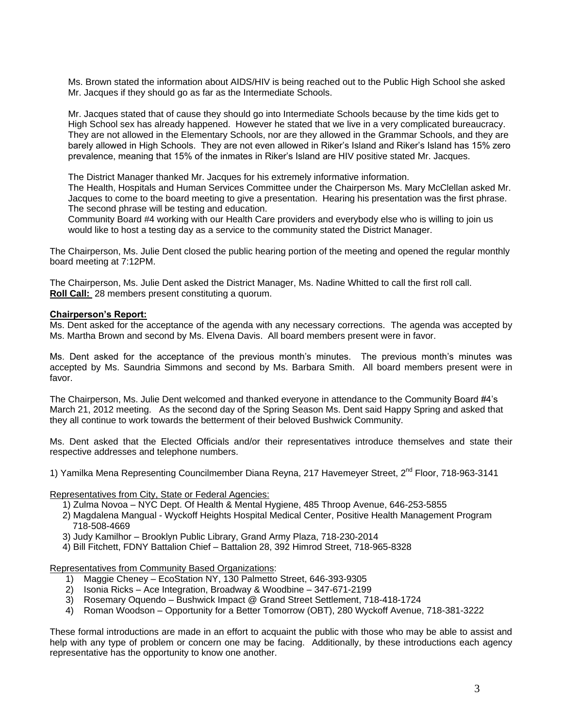Ms. Brown stated the information about AIDS/HIV is being reached out to the Public High School she asked Mr. Jacques if they should go as far as the Intermediate Schools.

Mr. Jacques stated that of cause they should go into Intermediate Schools because by the time kids get to High School sex has already happened. However he stated that we live in a very complicated bureaucracy. They are not allowed in the Elementary Schools, nor are they allowed in the Grammar Schools, and they are barely allowed in High Schools. They are not even allowed in Riker's Island and Riker's Island has 15% zero prevalence, meaning that 15% of the inmates in Riker's Island are HIV positive stated Mr. Jacques.

The District Manager thanked Mr. Jacques for his extremely informative information.

The Health, Hospitals and Human Services Committee under the Chairperson Ms. Mary McClellan asked Mr. Jacques to come to the board meeting to give a presentation. Hearing his presentation was the first phrase. The second phrase will be testing and education.

Community Board #4 working with our Health Care providers and everybody else who is willing to join us would like to host a testing day as a service to the community stated the District Manager.

The Chairperson, Ms. Julie Dent closed the public hearing portion of the meeting and opened the regular monthly board meeting at 7:12PM.

The Chairperson, Ms. Julie Dent asked the District Manager, Ms. Nadine Whitted to call the first roll call. **Roll Call:** 28 members present constituting a quorum.

#### **Chairperson's Report:**

Ms. Dent asked for the acceptance of the agenda with any necessary corrections. The agenda was accepted by Ms. Martha Brown and second by Ms. Elvena Davis. All board members present were in favor.

Ms. Dent asked for the acceptance of the previous month's minutes. The previous month's minutes was accepted by Ms. Saundria Simmons and second by Ms. Barbara Smith. All board members present were in favor.

The Chairperson, Ms. Julie Dent welcomed and thanked everyone in attendance to the Community Board #4's March 21, 2012 meeting. As the second day of the Spring Season Ms. Dent said Happy Spring and asked that they all continue to work towards the betterment of their beloved Bushwick Community.

Ms. Dent asked that the Elected Officials and/or their representatives introduce themselves and state their respective addresses and telephone numbers.

1) Yamilka Mena Representing Councilmember Diana Reyna, 217 Havemeyer Street, 2<sup>nd</sup> Floor, 718-963-3141

Representatives from City, State or Federal Agencies:

1) Zulma Novoa – NYC Dept. Of Health & Mental Hygiene, 485 Throop Avenue, 646-253-5855

- 2) Magdalena Mangual Wyckoff Heights Hospital Medical Center, Positive Health Management Program 718-508-4669
- 3) Judy Kamilhor Brooklyn Public Library, Grand Army Plaza, 718-230-2014
- 4) Bill Fitchett, FDNY Battalion Chief Battalion 28, 392 Himrod Street, 718-965-8328

Representatives from Community Based Organizations:

- 1) Maggie Cheney EcoStation NY, 130 Palmetto Street, 646-393-9305
- 2) Isonia Ricks Ace Integration, Broadway & Woodbine 347-671-2199
- 3) Rosemary Oquendo Bushwick Impact @ Grand Street Settlement, 718-418-1724
- 4) Roman Woodson Opportunity for a Better Tomorrow (OBT), 280 Wyckoff Avenue, 718-381-3222

These formal introductions are made in an effort to acquaint the public with those who may be able to assist and help with any type of problem or concern one may be facing. Additionally, by these introductions each agency representative has the opportunity to know one another.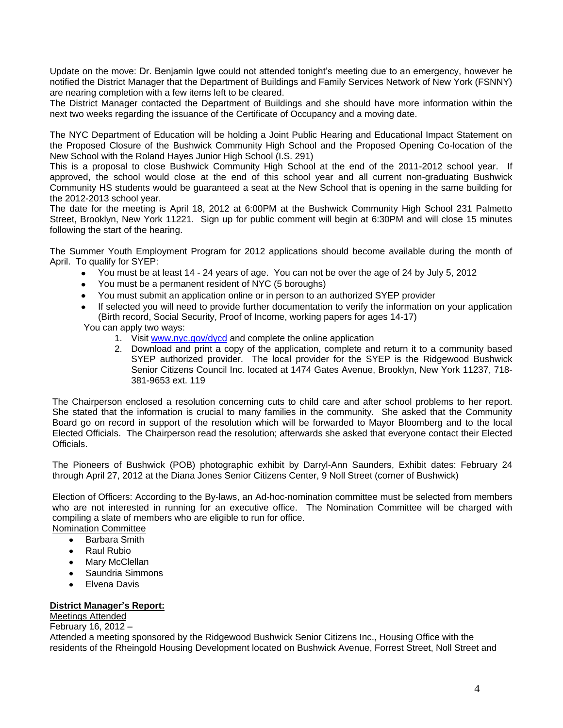Update on the move: Dr. Benjamin Igwe could not attended tonight's meeting due to an emergency, however he notified the District Manager that the Department of Buildings and Family Services Network of New York (FSNNY) are nearing completion with a few items left to be cleared.

The District Manager contacted the Department of Buildings and she should have more information within the next two weeks regarding the issuance of the Certificate of Occupancy and a moving date.

The NYC Department of Education will be holding a Joint Public Hearing and Educational Impact Statement on the Proposed Closure of the Bushwick Community High School and the Proposed Opening Co-location of the New School with the Roland Hayes Junior High School (I.S. 291)

This is a proposal to close Bushwick Community High School at the end of the 2011-2012 school year. If approved, the school would close at the end of this school year and all current non-graduating Bushwick Community HS students would be guaranteed a seat at the New School that is opening in the same building for the 2012-2013 school year.

The date for the meeting is April 18, 2012 at 6:00PM at the Bushwick Community High School 231 Palmetto Street, Brooklyn, New York 11221. Sign up for public comment will begin at 6:30PM and will close 15 minutes following the start of the hearing.

The Summer Youth Employment Program for 2012 applications should become available during the month of April. To qualify for SYEP:

- You must be at least 14 24 years of age. You can not be over the age of 24 by July 5, 2012
- You must be a permanent resident of NYC (5 boroughs)
- You must submit an application online or in person to an authorized SYEP provider
- If selected you will need to provide further documentation to verify the information on your application (Birth record, Social Security, Proof of Income, working papers for ages 14-17)

You can apply two ways:

- 1. Visit [www.nyc.gov/dycd](http://www.nyc.gov/dycd) and complete the online application
- 2. Download and print a copy of the application, complete and return it to a community based SYEP authorized provider. The local provider for the SYEP is the Ridgewood Bushwick Senior Citizens Council Inc. located at 1474 Gates Avenue, Brooklyn, New York 11237, 718- 381-9653 ext. 119

The Chairperson enclosed a resolution concerning cuts to child care and after school problems to her report. She stated that the information is crucial to many families in the community. She asked that the Community Board go on record in support of the resolution which will be forwarded to Mayor Bloomberg and to the local Elected Officials. The Chairperson read the resolution; afterwards she asked that everyone contact their Elected Officials.

The Pioneers of Bushwick (POB) photographic exhibit by Darryl-Ann Saunders, Exhibit dates: February 24 through April 27, 2012 at the Diana Jones Senior Citizens Center, 9 Noll Street (corner of Bushwick)

Election of Officers: According to the By-laws, an Ad-hoc-nomination committee must be selected from members who are not interested in running for an executive office. The Nomination Committee will be charged with compiling a slate of members who are eligible to run for office.

- Nomination Committee Barbara Smith  $\bullet$ 
	-
	- Raul Rubio
	- Mary McClellan
	- Saundria Simmons  $\bullet$
	- Elvena Davis  $\bullet$

### **District Manager's Report:**

## Meetings Attended

February 16, 2012 –

Attended a meeting sponsored by the Ridgewood Bushwick Senior Citizens Inc., Housing Office with the residents of the Rheingold Housing Development located on Bushwick Avenue, Forrest Street, Noll Street and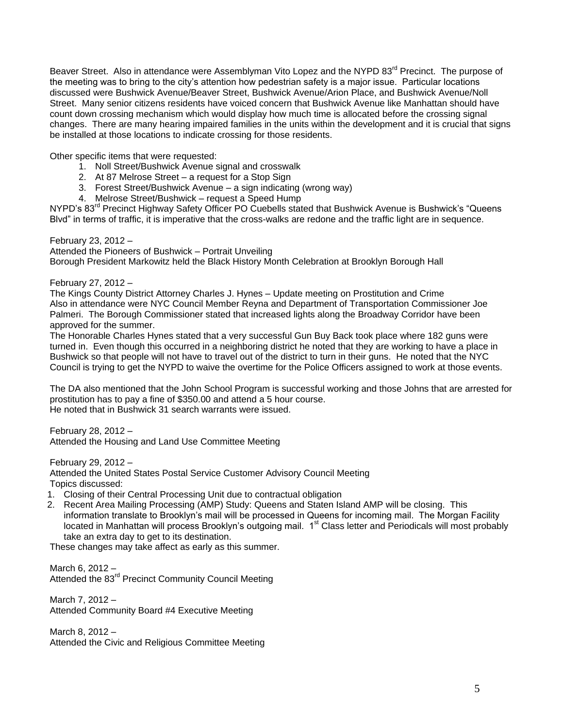Beaver Street. Also in attendance were Assemblyman Vito Lopez and the NYPD 83<sup>rd</sup> Precinct. The purpose of the meeting was to bring to the city's attention how pedestrian safety is a major issue. Particular locations discussed were Bushwick Avenue/Beaver Street, Bushwick Avenue/Arion Place, and Bushwick Avenue/Noll Street. Many senior citizens residents have voiced concern that Bushwick Avenue like Manhattan should have count down crossing mechanism which would display how much time is allocated before the crossing signal changes. There are many hearing impaired families in the units within the development and it is crucial that signs be installed at those locations to indicate crossing for those residents.

Other specific items that were requested:

- 1. Noll Street/Bushwick Avenue signal and crosswalk
- 2. At 87 Melrose Street a request for a Stop Sign
- 3. Forest Street/Bushwick Avenue a sign indicating (wrong way)
- 4. Melrose Street/Bushwick request a Speed Hump

NYPD's 83<sup>rd</sup> Precinct Highway Safety Officer PO Cuebells stated that Bushwick Avenue is Bushwick's "Queens" Blvd" in terms of traffic, it is imperative that the cross-walks are redone and the traffic light are in sequence.

February 23, 2012 – Attended the Pioneers of Bushwick – Portrait Unveiling Borough President Markowitz held the Black History Month Celebration at Brooklyn Borough Hall

February 27, 2012 –

The Kings County District Attorney Charles J. Hynes – Update meeting on Prostitution and Crime Also in attendance were NYC Council Member Reyna and Department of Transportation Commissioner Joe Palmeri. The Borough Commissioner stated that increased lights along the Broadway Corridor have been approved for the summer.

The Honorable Charles Hynes stated that a very successful Gun Buy Back took place where 182 guns were turned in. Even though this occurred in a neighboring district he noted that they are working to have a place in Bushwick so that people will not have to travel out of the district to turn in their guns. He noted that the NYC Council is trying to get the NYPD to waive the overtime for the Police Officers assigned to work at those events.

The DA also mentioned that the John School Program is successful working and those Johns that are arrested for prostitution has to pay a fine of \$350.00 and attend a 5 hour course. He noted that in Bushwick 31 search warrants were issued.

February 28, 2012 – Attended the Housing and Land Use Committee Meeting

February 29, 2012 – Attended the United States Postal Service Customer Advisory Council Meeting Topics discussed:

- 1. Closing of their Central Processing Unit due to contractual obligation
- 2. Recent Area Mailing Processing (AMP) Study: Queens and Staten Island AMP will be closing. This information translate to Brooklyn's mail will be processed in Queens for incoming mail. The Morgan Facility located in Manhattan will process Brooklyn's outgoing mail. 1<sup>st</sup> Class letter and Periodicals will most probably take an extra day to get to its destination.

These changes may take affect as early as this summer.

March 6, 2012 – Attended the 83<sup>rd</sup> Precinct Community Council Meeting

March 7, 2012 – Attended Community Board #4 Executive Meeting

March 8, 2012 – Attended the Civic and Religious Committee Meeting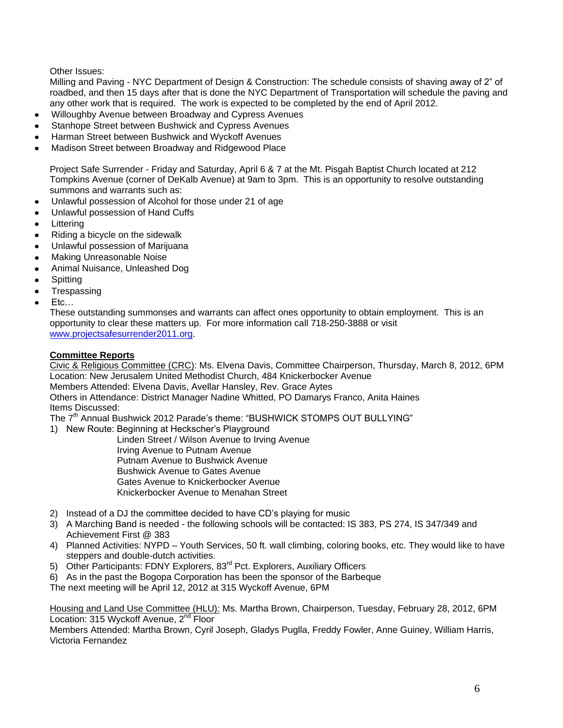Other Issues:

Milling and Paving - NYC Department of Design & Construction: The schedule consists of shaving away of 2" of roadbed, and then 15 days after that is done the NYC Department of Transportation will schedule the paving and any other work that is required. The work is expected to be completed by the end of April 2012.

- Willoughby Avenue between Broadway and Cypress Avenues
- Stanhope Street between Bushwick and Cypress Avenues
- Harman Street between Bushwick and Wyckoff Avenues
- Madison Street between Broadway and Ridgewood Place

Project Safe Surrender - Friday and Saturday, April 6 & 7 at the Mt. Pisgah Baptist Church located at 212 Tompkins Avenue (corner of DeKalb Avenue) at 9am to 3pm. This is an opportunity to resolve outstanding summons and warrants such as:

- Unlawful possession of Alcohol for those under 21 of age
- Unlawful possession of Hand Cuffs
- Littering
- Riding a bicycle on the sidewalk
- Unlawful possession of Marijuana
- Making Unreasonable Noise
- Animal Nuisance, Unleashed Dog
- **Spitting**
- **Trespassing**
- Etc…

These outstanding summonses and warrants can affect ones opportunity to obtain employment. This is an opportunity to clear these matters up. For more information call 718-250-3888 or visit [www.projectsafesurrender2011.org.](http://www.projectsafesurrender2011.org/)

# **Committee Reports**

Civic & Religious Committee (CRC): Ms. Elvena Davis, Committee Chairperson, Thursday, March 8, 2012, 6PM Location: New Jerusalem United Methodist Church, 484 Knickerbocker Avenue

Members Attended: Elvena Davis, Avellar Hansley, Rev. Grace Aytes

Others in Attendance: District Manager Nadine Whitted, PO Damarys Franco, Anita Haines Items Discussed:

The 7<sup>th</sup> Annual Bushwick 2012 Parade's theme: "BUSHWICK STOMPS OUT BULLYING"

1) New Route: Beginning at Heckscher's Playground

 Linden Street / Wilson Avenue to Irving Avenue Irving Avenue to Putnam Avenue Putnam Avenue to Bushwick Avenue Bushwick Avenue to Gates Avenue Gates Avenue to Knickerbocker Avenue Knickerbocker Avenue to Menahan Street

- 2) Instead of a DJ the committee decided to have CD's playing for music
- 3) A Marching Band is needed the following schools will be contacted: IS 383, PS 274, IS 347/349 and Achievement First @ 383
- 4) Planned Activities: NYPD Youth Services, 50 ft. wall climbing, coloring books, etc. They would like to have steppers and double-dutch activities.
- 5) Other Participants: FDNY Explorers, 83<sup>rd</sup> Pct. Explorers, Auxiliary Officers
- 6) As in the past the Bogopa Corporation has been the sponsor of the Barbeque

The next meeting will be April 12, 2012 at 315 Wyckoff Avenue, 6PM

Housing and Land Use Committee (HLU): Ms. Martha Brown, Chairperson, Tuesday, February 28, 2012, 6PM Location: 315 Wyckoff Avenue, 2<sup>nd</sup> Floor

Members Attended: Martha Brown, Cyril Joseph, Gladys Puglla, Freddy Fowler, Anne Guiney, William Harris, Victoria Fernandez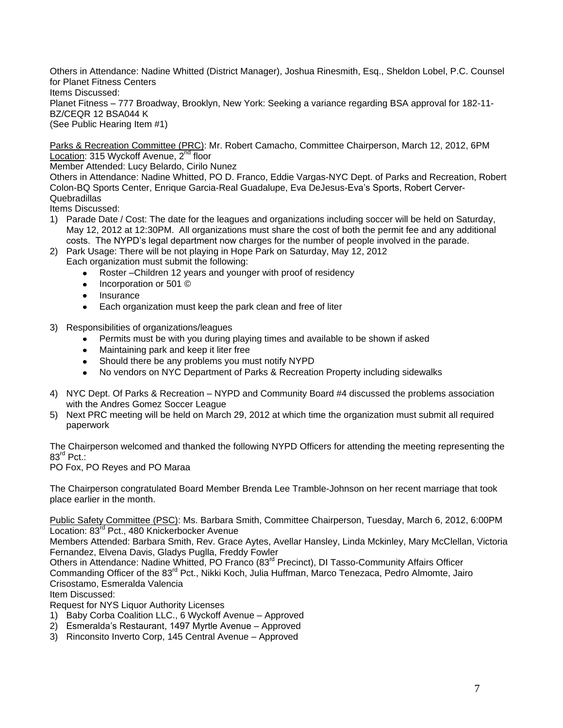Others in Attendance: Nadine Whitted (District Manager), Joshua Rinesmith, Esq., Sheldon Lobel, P.C. Counsel for Planet Fitness Centers

Items Discussed:

Planet Fitness – 777 Broadway, Brooklyn, New York: Seeking a variance regarding BSA approval for 182-11- BZ/CEQR 12 BSA044 K

(See Public Hearing Item #1)

Parks & Recreation Committee (PRC): Mr. Robert Camacho, Committee Chairperson, March 12, 2012, 6PM Location: 315 Wyckoff Avenue, 2<sup>nd</sup> floor

Member Attended: Lucy Belardo, Cirilo Nunez

Others in Attendance: Nadine Whitted, PO D. Franco, Eddie Vargas-NYC Dept. of Parks and Recreation, Robert Colon-BQ Sports Center, Enrique Garcia-Real Guadalupe, Eva DeJesus-Eva's Sports, Robert Cerver-Quebradillas

Items Discussed:

- 1) Parade Date / Cost: The date for the leagues and organizations including soccer will be held on Saturday, May 12, 2012 at 12:30PM. All organizations must share the cost of both the permit fee and any additional costs. The NYPD's legal department now charges for the number of people involved in the parade.
- 2) Park Usage: There will be not playing in Hope Park on Saturday, May 12, 2012 Each organization must submit the following:
	- Roster –Children 12 years and younger with proof of residency  $\bullet$
	- Incorporation or 501 ©  $\bullet$
	- Insurance  $\bullet$
	- Each organization must keep the park clean and free of liter
- 3) Responsibilities of organizations/leagues
	- Permits must be with you during playing times and available to be shown if asked
	- Maintaining park and keep it liter free
	- Should there be any problems you must notify NYPD
	- $\bullet$ No vendors on NYC Department of Parks & Recreation Property including sidewalks
- 4) NYC Dept. Of Parks & Recreation NYPD and Community Board #4 discussed the problems association with the Andres Gomez Soccer League
- 5) Next PRC meeting will be held on March 29, 2012 at which time the organization must submit all required paperwork

The Chairperson welcomed and thanked the following NYPD Officers for attending the meeting representing the  $83^{\text{rd}}$  Pct.:

PO Fox, PO Reyes and PO Maraa

The Chairperson congratulated Board Member Brenda Lee Tramble-Johnson on her recent marriage that took place earlier in the month.

Public Safety Committee (PSC): Ms. Barbara Smith, Committee Chairperson, Tuesday, March 6, 2012, 6:00PM Location: 83<sup>rd</sup> Pct., 480 Knickerbocker Avenue

Members Attended: Barbara Smith, Rev. Grace Aytes, Avellar Hansley, Linda Mckinley, Mary McClellan, Victoria Fernandez, Elvena Davis, Gladys Puglla, Freddy Fowler

Others in Attendance: Nadine Whitted, PO Franco (83rd Precinct), DI Tasso-Community Affairs Officer Commanding Officer of the 83<sup>rd</sup> Pct., Nikki Koch, Julia Huffman, Marco Tenezaca, Pedro Almomte, Jairo Crisostamo, Esmeralda Valencia

Item Discussed:

Request for NYS Liquor Authority Licenses

- 1) Baby Corba Coalition LLC., 6 Wyckoff Avenue Approved
- 2) Esmeralda's Restaurant, 1497 Myrtle Avenue Approved
- 3) Rinconsito Inverto Corp, 145 Central Avenue Approved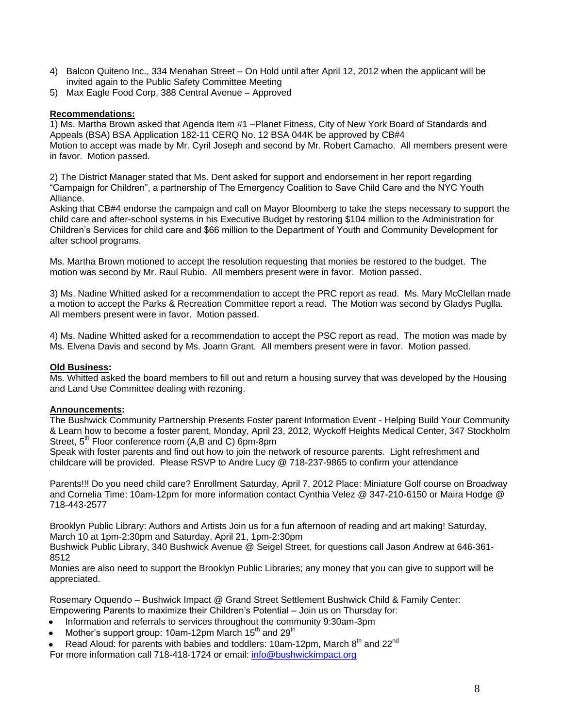- 4) Balcon Quiteno Inc., 334 Menahan Street On Hold until after April 12, 2012 when the applicant will be invited again to the Public Safety Committee Meeting
- 5) Max Eagle Food Corp, 388 Central Avenue Approved

## **Recommendations:**

1) Ms. Martha Brown asked that Agenda Item #1 –Planet Fitness, City of New York Board of Standards and Appeals (BSA) BSA Application 182-11 CERQ No. 12 BSA 044K be approved by CB#4 Motion to accept was made by Mr. Cyril Joseph and second by Mr. Robert Camacho. All members present were in favor. Motion passed.

2) The District Manager stated that Ms. Dent asked for support and endorsement in her report regarding "Campaign for Children", a partnership of The Emergency Coalition to Save Child Care and the NYC Youth Alliance.

Asking that CB#4 endorse the campaign and call on Mayor Bloomberg to take the steps necessary to support the child care and after-school systems in his Executive Budget by restoring \$104 million to the Administration for Children's Services for child care and \$66 million to the Department of Youth and Community Development for after school programs.

Ms. Martha Brown motioned to accept the resolution requesting that monies be restored to the budget. The motion was second by Mr. Raul Rubio. All members present were in favor. Motion passed.

3) Ms. Nadine Whitted asked for a recommendation to accept the PRC report as read. Ms. Mary McClellan made a motion to accept the Parks & Recreation Committee report a read. The Motion was second by Gladys Puglla. All members present were in favor. Motion passed.

4) Ms. Nadine Whitted asked for a recommendation to accept the PSC report as read. The motion was made by Ms. Elvena Davis and second by Ms. Joann Grant. All members present were in favor. Motion passed.

### **Old Business:**

Ms. Whitted asked the board members to fill out and return a housing survey that was developed by the Housing and Land Use Committee dealing with rezoning.

### **Announcements:**

The Bushwick Community Partnership Presents Foster parent Information Event - Helping Build Your Community & Learn how to become a foster parent, Monday, April 23, 2012, Wyckoff Heights Medical Center, 347 Stockholm Street, 5<sup>th</sup> Floor conference room (A,B and C) 6pm-8pm

Speak with foster parents and find out how to join the network of resource parents. Light refreshment and childcare will be provided. Please RSVP to Andre Lucy @ 718-237-9865 to confirm your attendance

Parents!!! Do you need child care? Enrollment Saturday, April 7, 2012 Place: Miniature Golf course on Broadway and Cornelia Time: 10am-12pm for more information contact Cynthia Velez @ 347-210-6150 or Maira Hodge @ 718-443-2577

Brooklyn Public Library: Authors and Artists Join us for a fun afternoon of reading and art making! Saturday, March 10 at 1pm-2:30pm and Saturday, April 21, 1pm-2:30pm

Bushwick Public Library, 340 Bushwick Avenue @ Seigel Street, for questions call Jason Andrew at 646-361- 8512

Monies are also need to support the Brooklyn Public Libraries; any money that you can give to support will be appreciated.

Rosemary Oquendo – Bushwick Impact @ Grand Street Settlement Bushwick Child & Family Center: Empowering Parents to maximize their Children's Potential – Join us on Thursday for:

- Information and referrals to services throughout the community 9:30am-3pm
- Mother's support group: 10am-12pm March  $15<sup>th</sup>$  and 29<sup>th</sup>
- Read Aloud: for parents with babies and toddlers: 10am-12pm, March 8<sup>th</sup> and 22<sup>nd</sup>

For more information call 718-418-1724 or email: [info@bushwickimpact.org](mailto:info@bushwickimpact.org)